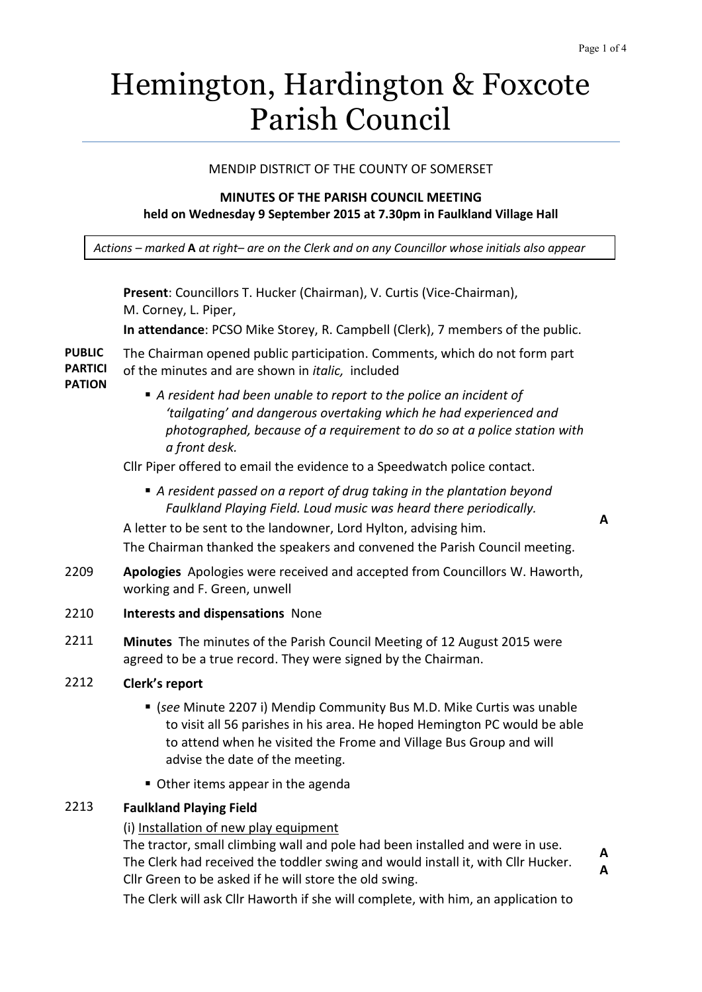# Hemington, Hardington & Foxcote Parish Council

## MENDIP DISTRICT OF THE COUNTY OF SOMERSET

## **MINUTES OF THE PARISH COUNCIL MEETING held on Wednesday 9 September 2015 at 7.30pm in Faulkland Village Hall**

*Actions – marked* **A** *at right– are on the Clerk and on any Councillor whose initials also appear*

**Present**: Councillors T. Hucker (Chairman), V. Curtis (Vice-Chairman), M. Corney, L. Piper, **In attendance**: PCSO Mike Storey, R. Campbell (Clerk), 7 members of the public. The Chairman opened public participation. Comments, which do not form part of the minutes and are shown in *italic,* included *A resident had been unable to report to the police an incident of 'tailgating' and dangerous overtaking which he had experienced and photographed, because of a requirement to do so at a police station with a front desk.* Cllr Piper offered to email the evidence to a Speedwatch police contact. *A resident passed on a report of drug taking in the plantation beyond Faulkland Playing Field. Loud music was heard there periodically.* A letter to be sent to the landowner, Lord Hylton, advising him. The Chairman thanked the speakers and convened the Parish Council meeting. 2209 **Apologies** Apologies were received and accepted from Councillors W. Haworth, working and F. Green, unwell

## 2210 **Interests and dispensations** None

- 2211 **Minutes** The minutes of the Parish Council Meeting of 12 August 2015 were agreed to be a true record. They were signed by the Chairman.
- 2212 **Clerk's report**

**PUBLIC PARTICI PATION**

- (*see* Minute 2207 i) Mendip Community Bus M.D. Mike Curtis was unable to visit all 56 parishes in his area. He hoped Hemington PC would be able to attend when he visited the Frome and Village Bus Group and will advise the date of the meeting.
- Other items appear in the agenda

# 2213 **Faulkland Playing Field**

## (i) Installation of new play equipment

The tractor, small climbing wall and pole had been installed and were in use. The Clerk had received the toddler swing and would install it, with Cllr Hucker. Cllr Green to be asked if he will store the old swing.

The Clerk will ask Cllr Haworth if she will complete, with him, an application to

**A**

**A A**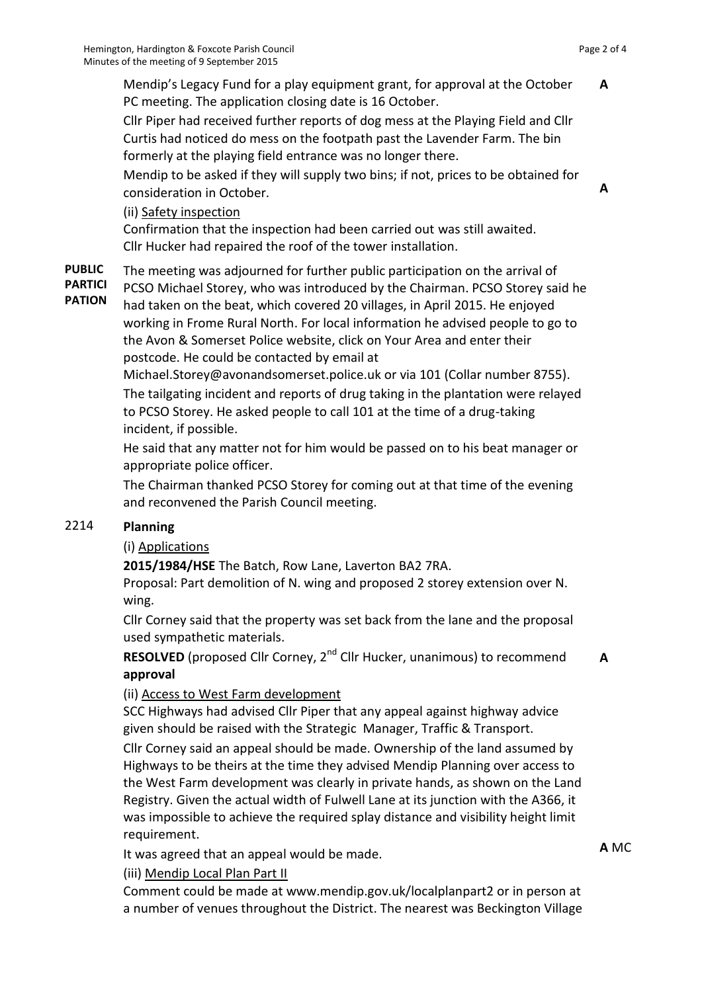**A**

**A**

Mendip's Legacy Fund for a play equipment grant, for approval at the October PC meeting. The application closing date is 16 October.

Cllr Piper had received further reports of dog mess at the Playing Field and Cllr Curtis had noticed do mess on the footpath past the Lavender Farm. The bin formerly at the playing field entrance was no longer there.

Mendip to be asked if they will supply two bins; if not, prices to be obtained for consideration in October.

# (ii) Safety inspection

Confirmation that the inspection had been carried out was still awaited. Cllr Hucker had repaired the roof of the tower installation.

**PUBLIC**  The meeting was adjourned for further public participation on the arrival of

**PARTICI PATION**

PCSO Michael Storey, who was introduced by the Chairman. PCSO Storey said he had taken on the beat, which covered 20 villages, in April 2015. He enjoyed working in Frome Rural North. For local information he advised people to go to the Avon & Somerset Police website, click on Your Area and enter their postcode. He could be contacted by email at

[Michael.Storey@avonandsomerset.police.uk](mailto:Michael.Storey@avonandsomerset.police.uk) or via 101 (Collar number 8755). The tailgating incident and reports of drug taking in the plantation were relayed to PCSO Storey. He asked people to call 101 at the time of a drug-taking incident, if possible.

He said that any matter not for him would be passed on to his beat manager or appropriate police officer.

The Chairman thanked PCSO Storey for coming out at that time of the evening and reconvened the Parish Council meeting.

## 2214 **Planning**

# (i) Applications

**2015/1984/HSE** The Batch, Row Lane, Laverton BA2 7RA.

Proposal: Part demolition of N. wing and proposed 2 storey extension over N. wing.

Cllr Corney said that the property was set back from the lane and the proposal used sympathetic materials.

**RESOLVED** (proposed Cllr Corney, 2<sup>nd</sup> Cllr Hucker, unanimous) to recommend **approval A**

## (ii) Access to West Farm development

SCC Highways had advised Cllr Piper that any appeal against highway advice given should be raised with the Strategic Manager, Traffic & Transport.

Cllr Corney said an appeal should be made. Ownership of the land assumed by Highways to be theirs at the time they advised Mendip Planning over access to the West Farm development was clearly in private hands, as shown on the Land Registry. Given the actual width of Fulwell Lane at its junction with the A366, it was impossible to achieve the required splay distance and visibility height limit requirement.

It was agreed that an appeal would be made.

(iii) Mendip Local Plan Part II

Comment could be made at [www.mendip.gov.uk/localplanpart2](http://www.mendip.gov.uk/localplanpart2) or in person at a number of venues throughout the District. The nearest was Beckington Village **A** MC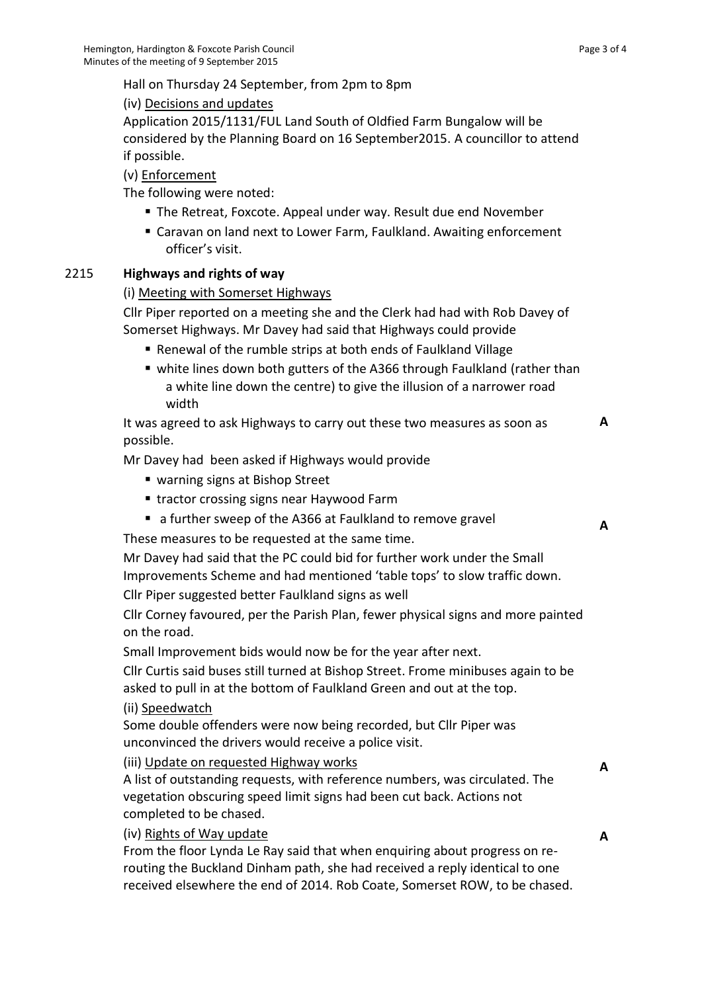Hall on Thursday 24 September, from 2pm to 8pm

(iv) Decisions and updates

Application 2015/1131/FUL Land South of Oldfied Farm Bungalow will be considered by the Planning Board on 16 September2015. A councillor to attend if possible.

(v) Enforcement

The following were noted:

- The Retreat, Foxcote. Appeal under way. Result due end November
- Caravan on land next to Lower Farm, Faulkland. Awaiting enforcement officer's visit.

# 2215 **Highways and rights of way**

# (i) Meeting with Somerset Highways

Cllr Piper reported on a meeting she and the Clerk had had with Rob Davey of Somerset Highways. Mr Davey had said that Highways could provide

- Renewal of the rumble strips at both ends of Faulkland Village
- white lines down both gutters of the A366 through Faulkland (rather than a white line down the centre) to give the illusion of a narrower road width

It was agreed to ask Highways to carry out these two measures as soon as possible.

Mr Davey had been asked if Highways would provide

- warning signs at Bishop Street
- **tractor crossing signs near Haywood Farm**
- a further sweep of the A366 at Faulkland to remove gravel

These measures to be requested at the same time.

Mr Davey had said that the PC could bid for further work under the Small Improvements Scheme and had mentioned 'table tops' to slow traffic down. Cllr Piper suggested better Faulkland signs as well

Cllr Corney favoured, per the Parish Plan, fewer physical signs and more painted on the road.

Small Improvement bids would now be for the year after next.

Cllr Curtis said buses still turned at Bishop Street. Frome minibuses again to be asked to pull in at the bottom of Faulkland Green and out at the top.

## (ii) Speedwatch

Some double offenders were now being recorded, but Cllr Piper was unconvinced the drivers would receive a police visit.

(iii) Update on requested Highway works

A list of outstanding requests, with reference numbers, was circulated. The vegetation obscuring speed limit signs had been cut back. Actions not completed to be chased.

(iv) Rights of Way update

From the floor Lynda Le Ray said that when enquiring about progress on rerouting the Buckland Dinham path, she had received a reply identical to one received elsewhere the end of 2014. Rob Coate, Somerset ROW, to be chased. **A**

**A**

**A**

**A**